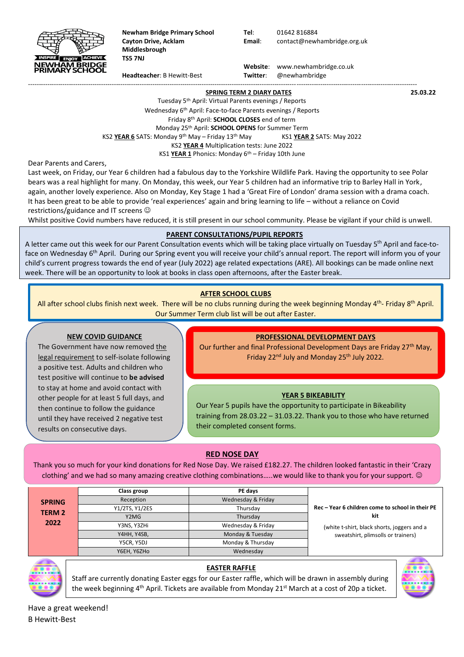

**Newham Bridge Primary School Tel**: 01642 816884 **Middlesbrough TS5 7NJ**

**Cayton Drive, Acklam Email**: contact@newhambridge.org.uk

 **Website**: www.newhambridge.co.uk **Headteacher**: B Hewitt-Best **Twitter**: @newhambridge

#### **SPRING TERM 2 DIARY DATES 25.03.22**

Tuesday 5th April: Virtual Parents evenings / Reports Wednesday 6th April: Face-to-face Parents evenings / Reports Friday 8 th April: **SCHOOL CLOSES** end of term Monday 25 th April: **SCHOOL OPENS** for Summer Term KS2 YEAR 6 SATS: Monday 9<sup>th</sup> May – Friday 13<sup>th</sup> May KS1 YEAR 2 SATS: May 2022 KS2 **YEAR 4** Multiplication tests: June 2022 KS1 YEAR 1 Phonics: Monday 6<sup>th</sup> – Friday 10th June

-------------------------------------------------------------------------------------------------------------------------------------------------------------------------------------

Dear Parents and Carers,

Last week, on Friday, our Year 6 children had a fabulous day to the Yorkshire Wildlife Park. Having the opportunity to see Polar bears was a real highlight for many. On Monday, this week, our Year 5 children had an informative trip to Barley Hall in York, again, another lovely experience. Also on Monday, Key Stage 1 had a 'Great Fire of London' drama session with a drama coach. It has been great to be able to provide 'real experiences' again and bring learning to life – without a reliance on Covid restrictions/guidance and IT screens

Whilst positive Covid numbers have reduced, it is still present in our school community. Please be vigilant if your child is unwell.

## **PARENT CONSULTATIONS/PUPIL REPORTS**

A letter came out this week for our Parent Consultation events which will be taking place virtually on Tuesday 5<sup>th</sup> April and face-toface on Wednesday 6<sup>th</sup> April. During our Spring event you will receive your child's annual report. The report will inform you of your child's current progress towards the end of year (July 2022) age related expectations (ARE). All bookings can be made online next week. There will be an opportunity to look at books in class open afternoons, after the Easter break.

## **AFTER SCHOOL CLUBS**

All after school clubs finish next week. There will be no clubs running during the week beginning Monday 4<sup>th</sup>- Friday 8<sup>th</sup> April. Our Summer Term club list will be out after Easter.

#### **NEW COVID GUIDANCE**

other people for at least 5 full days, and other people for at least 5 run days, and<br>then continue to follow the guidance The Government have now removed the legal requirement to self-isolate following a positive test. Adults and children who test positive will continue to **be advised** to stay at home and avoid contact with until they have received 2 negative test results on consecutive days.

## **PROFESSIONAL DEVELOPMENT DAYS**

Our further and final Professional Development Days are Friday 27<sup>th</sup> May, Friday 22<sup>nd</sup> July and Monday 25<sup>th</sup> July 2022.

## **YEAR 5 BIKEABILITY**

Our Year 5 pupils have the opportunity to participate in Bikeability training from 28.03.22 – 31.03.22. Thank you to those who have returned their completed consent forms.

## **RED NOSE DAY**

Thank you so much for your kind donations for Red Nose Day. We raised £182.27. The children looked fantastic in their 'Crazy clothing' and we had so many amazing creative clothing combinations.....we would like to thank you for your support. ©

|                                | Class group    | PE davs            |                                                         |  |
|--------------------------------|----------------|--------------------|---------------------------------------------------------|--|
| <b>SPRING</b><br><b>TERM 2</b> | Reception      | Wednesday & Friday | Rec - Year 6 children come to school in their PE<br>kit |  |
|                                | Y1/2TS, Y1/2ES | Thursdav           |                                                         |  |
|                                | Y2MG           | Thursday           |                                                         |  |
| 2022                           | Y3NS, Y3ZHi    | Wednesday & Friday | (white t-shirt, black shorts, joggers and a             |  |
|                                | Y4HH, Y4SB,    | Monday & Tuesday   | sweatshirt, plimsolls or trainers)                      |  |
|                                | Y5CR, Y5DJ     | Monday & Thursday  |                                                         |  |
|                                | Y6EH, Y6ZHo    | Wednesday          |                                                         |  |



## **EASTER RAFFLE**

Staff are currently donating Easter eggs for our Easter raffle, which will be drawn in assembly during the week beginning 4<sup>th</sup> April. Tickets are available from Monday 21<sup>st</sup> March at a cost of 20p a ticket.



Have a great weekend! B Hewitt-Best